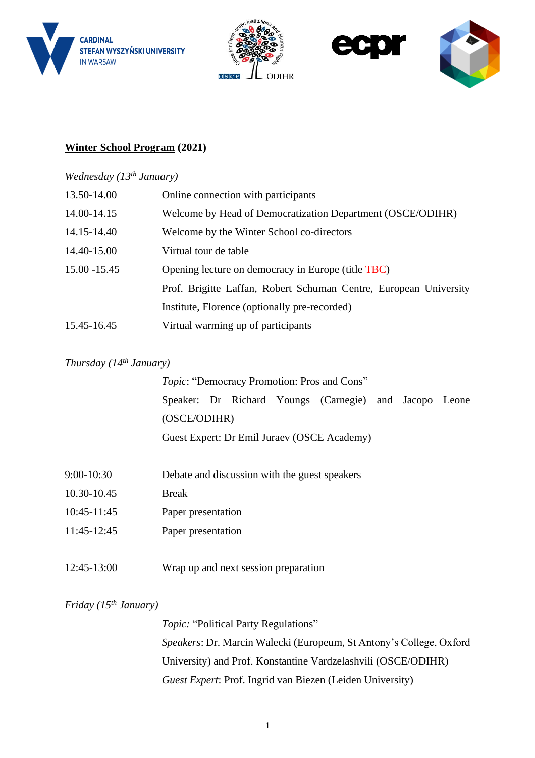







## **Winter School Program (2021)**

#### *Wednesday (13 th January)*

| 13.50-14.00     | Online connection with participants                               |
|-----------------|-------------------------------------------------------------------|
| 14.00-14.15     | Welcome by Head of Democratization Department (OSCE/ODIHR)        |
| 14.15-14.40     | Welcome by the Winter School co-directors                         |
| 14.40-15.00     | Virtual tour de table                                             |
| $15.00 - 15.45$ | Opening lecture on democracy in Europe (title TBC)                |
|                 | Prof. Brigitte Laffan, Robert Schuman Centre, European University |
|                 | Institute, Florence (optionally pre-recorded)                     |
| 15.45-16.45     | Virtual warming up of participants                                |

#### *Thursday (14 th January)*

|             |              |  | Topic: "Democracy Promotion: Pros and Cons"            |  |  |
|-------------|--------------|--|--------------------------------------------------------|--|--|
|             |              |  | Speaker: Dr Richard Youngs (Carnegie) and Jacopo Leone |  |  |
|             | (OSCE/ODIHR) |  |                                                        |  |  |
|             |              |  | Guest Expert: Dr Emil Juraev (OSCE Academy)            |  |  |
|             |              |  |                                                        |  |  |
| 9:00-10:30  |              |  | Debate and discussion with the guest speakers          |  |  |
| 10.30-10.45 | <b>Break</b> |  |                                                        |  |  |
|             |              |  |                                                        |  |  |

- 11:45-12:45 Paper presentation
- 12:45-13:00 Wrap up and next session preparation

#### *Friday (15 th January)*

*Topic:* "Political Party Regulations" *Speakers*: Dr. Marcin Walecki (Europeum, St Antony's College, Oxford University) and Prof. Konstantine Vardzelashvili (OSCE/ODIHR) *Guest Expert*: Prof. Ingrid van Biezen (Leiden University)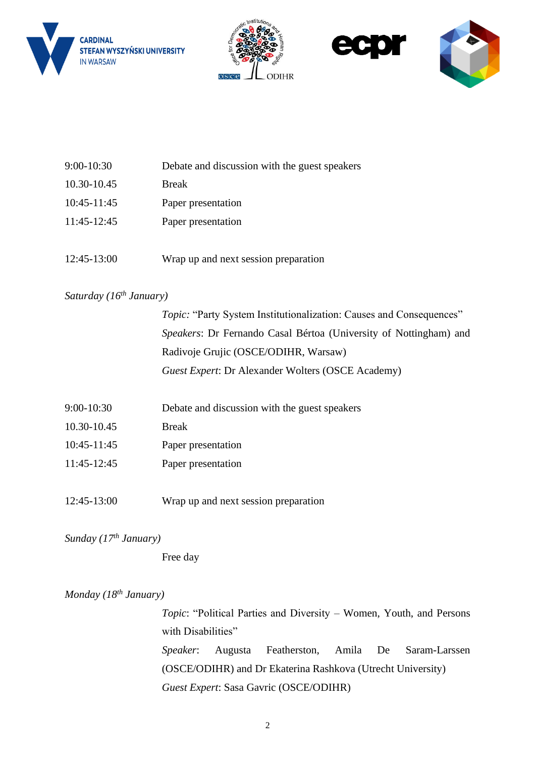







| $9:00-10:30$ | Debate and discussion with the guest speakers |
|--------------|-----------------------------------------------|
| 10.30-10.45  | <b>Break</b>                                  |
| 10:45-11:45  | Paper presentation                            |
| 11:45-12:45  | Paper presentation                            |
|              |                                               |
| 12:45-13:00  | Wrap up and next session preparation          |

### *Saturday (16th January)*

| <i>Topic:</i> "Party System Institutionalization: Causes and Consequences" |
|----------------------------------------------------------------------------|
| <i>Speakers:</i> Dr Fernando Casal Bértoa (University of Nottingham) and   |
| Radivoje Grujic (OSCE/ODIHR, Warsaw)                                       |
| Guest Expert: Dr Alexander Wolters (OSCE Academy)                          |
|                                                                            |

- 9:00-10:30 Debate and discussion with the guest speakers
- 10.30-10.45 Break
- 10:45-11:45 Paper presentation
- 11:45-12:45 Paper presentation
- 12:45-13:00 Wrap up and next session preparation

*Sunday (17th January)*

Free day

### *Monday (18th January)*

*Topic*: "Political Parties and Diversity – Women, Youth, and Persons with Disabilities" *Speaker*: Augusta Featherston, Amila De Saram-Larssen (OSCE/ODIHR) and Dr Ekaterina Rashkova (Utrecht University) *Guest Expert*: Sasa Gavric (OSCE/ODIHR)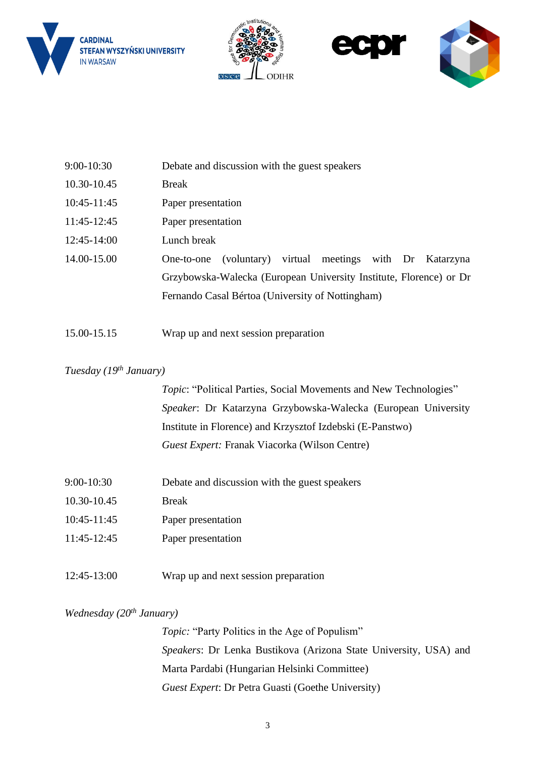







| 9:00-10:30  | Debate and discussion with the guest speakers                      |
|-------------|--------------------------------------------------------------------|
| 10.30-10.45 | <b>Break</b>                                                       |
| 10:45-11:45 | Paper presentation                                                 |
| 11:45-12:45 | Paper presentation                                                 |
| 12:45-14:00 | Lunch break                                                        |
| 14.00-15.00 | (voluntary) virtual meetings with Dr Katarzyna<br>One-to-one       |
|             | Grzybowska-Walecka (European University Institute, Florence) or Dr |
|             | Fernando Casal Bértoa (University of Nottingham)                   |
| 15.00-15.15 | Wrap up and next session preparation                               |

# *Tuesday (19 th January)*

*Topic*: "Political Parties, Social Movements and New Technologies" *Speaker*: Dr Katarzyna Grzybowska-Walecka (European University Institute in Florence) and Krzysztof Izdebski (E-Panstwo) *Guest Expert:* Franak Viacorka (Wilson Centre)

- 9:00-10:30 Debate and discussion with the guest speakers
- 10.30-10.45 Break
- 10:45-11:45 Paper presentation
- 11:45-12:45 Paper presentation

12:45-13:00 Wrap up and next session preparation

# *Wednesday (20th January)*

*Topic:* "Party Politics in the Age of Populism" *Speakers*: Dr Lenka Bustikova (Arizona State University, USA) and Marta Pardabi (Hungarian Helsinki Committee) *Guest Expert*: Dr Petra Guasti (Goethe University)